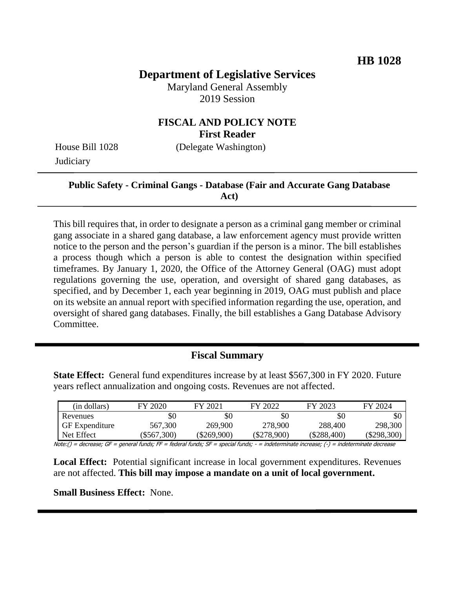# **Department of Legislative Services**

Maryland General Assembly 2019 Session

## **FISCAL AND POLICY NOTE First Reader**

**Judiciary** 

House Bill 1028 (Delegate Washington)

### **Public Safety - Criminal Gangs - Database (Fair and Accurate Gang Database Act)**

This bill requires that, in order to designate a person as a criminal gang member or criminal gang associate in a shared gang database, a law enforcement agency must provide written notice to the person and the person's guardian if the person is a minor. The bill establishes a process though which a person is able to contest the designation within specified timeframes. By January 1, 2020, the Office of the Attorney General (OAG) must adopt regulations governing the use, operation, and oversight of shared gang databases, as specified, and by December 1, each year beginning in 2019, OAG must publish and place on its website an annual report with specified information regarding the use, operation, and oversight of shared gang databases. Finally, the bill establishes a Gang Database Advisory Committee.

# **Fiscal Summary**

**State Effect:** General fund expenditures increase by at least \$567,300 in FY 2020. Future years reflect annualization and ongoing costs. Revenues are not affected.

| (in dollars)          | FY 2020   | FY 2021     | FY 2022       | FY 2023       | FY 2024     |
|-----------------------|-----------|-------------|---------------|---------------|-------------|
| Revenues              | \$0       | \$0         | \$0           | \$0           | \$0         |
| <b>GF</b> Expenditure | 567,300   | 269,900     | 278,900       | 288,400       | 298,300     |
| Net Effect            | \$567,300 | (\$269,900) | $(\$278,900)$ | $(\$288,400)$ | (\$298,300) |

Note:() = decrease; GF = general funds; FF = federal funds; SF = special funds; - = indeterminate increase; (-) = indeterminate decrease

**Local Effect:** Potential significant increase in local government expenditures. Revenues are not affected. **This bill may impose a mandate on a unit of local government.** 

**Small Business Effect:** None.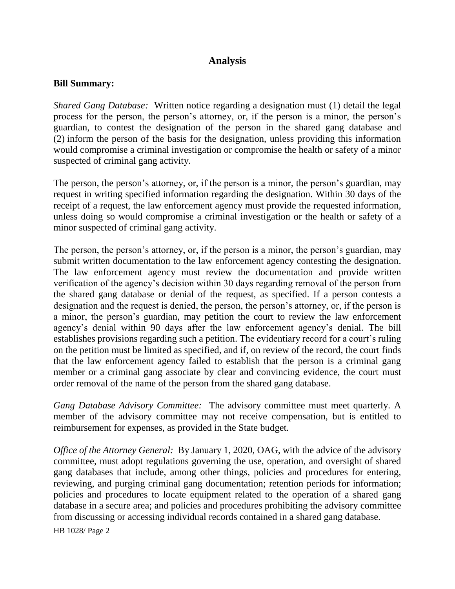# **Analysis**

#### **Bill Summary:**

*Shared Gang Database:* Written notice regarding a designation must (1) detail the legal process for the person, the person's attorney, or, if the person is a minor, the person's guardian, to contest the designation of the person in the shared gang database and (2) inform the person of the basis for the designation, unless providing this information would compromise a criminal investigation or compromise the health or safety of a minor suspected of criminal gang activity.

The person, the person's attorney, or, if the person is a minor, the person's guardian, may request in writing specified information regarding the designation. Within 30 days of the receipt of a request, the law enforcement agency must provide the requested information, unless doing so would compromise a criminal investigation or the health or safety of a minor suspected of criminal gang activity.

The person, the person's attorney, or, if the person is a minor, the person's guardian, may submit written documentation to the law enforcement agency contesting the designation. The law enforcement agency must review the documentation and provide written verification of the agency's decision within 30 days regarding removal of the person from the shared gang database or denial of the request, as specified. If a person contests a designation and the request is denied, the person, the person's attorney, or, if the person is a minor, the person's guardian, may petition the court to review the law enforcement agency's denial within 90 days after the law enforcement agency's denial. The bill establishes provisions regarding such a petition. The evidentiary record for a court's ruling on the petition must be limited as specified, and if, on review of the record, the court finds that the law enforcement agency failed to establish that the person is a criminal gang member or a criminal gang associate by clear and convincing evidence, the court must order removal of the name of the person from the shared gang database.

*Gang Database Advisory Committee:* The advisory committee must meet quarterly. A member of the advisory committee may not receive compensation, but is entitled to reimbursement for expenses, as provided in the State budget.

*Office of the Attorney General:* By January 1, 2020, OAG, with the advice of the advisory committee, must adopt regulations governing the use, operation, and oversight of shared gang databases that include, among other things, policies and procedures for entering, reviewing, and purging criminal gang documentation; retention periods for information; policies and procedures to locate equipment related to the operation of a shared gang database in a secure area; and policies and procedures prohibiting the advisory committee from discussing or accessing individual records contained in a shared gang database.

HB 1028/ Page 2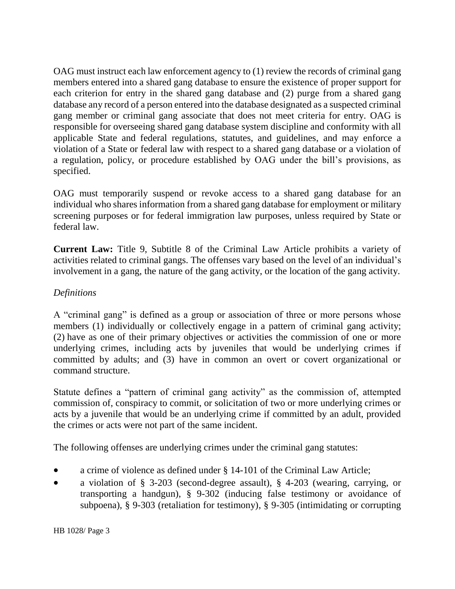OAG must instruct each law enforcement agency to (1) review the records of criminal gang members entered into a shared gang database to ensure the existence of proper support for each criterion for entry in the shared gang database and (2) purge from a shared gang database any record of a person entered into the database designated as a suspected criminal gang member or criminal gang associate that does not meet criteria for entry. OAG is responsible for overseeing shared gang database system discipline and conformity with all applicable State and federal regulations, statutes, and guidelines, and may enforce a violation of a State or federal law with respect to a shared gang database or a violation of a regulation, policy, or procedure established by OAG under the bill's provisions, as specified.

OAG must temporarily suspend or revoke access to a shared gang database for an individual who shares information from a shared gang database for employment or military screening purposes or for federal immigration law purposes, unless required by State or federal law.

**Current Law:** Title 9, Subtitle 8 of the Criminal Law Article prohibits a variety of activities related to criminal gangs. The offenses vary based on the level of an individual's involvement in a gang, the nature of the gang activity, or the location of the gang activity.

## *Definitions*

A "criminal gang" is defined as a group or association of three or more persons whose members (1) individually or collectively engage in a pattern of criminal gang activity; (2) have as one of their primary objectives or activities the commission of one or more underlying crimes, including acts by juveniles that would be underlying crimes if committed by adults; and (3) have in common an overt or covert organizational or command structure.

Statute defines a "pattern of criminal gang activity" as the commission of, attempted commission of, conspiracy to commit, or solicitation of two or more underlying crimes or acts by a juvenile that would be an underlying crime if committed by an adult, provided the crimes or acts were not part of the same incident.

The following offenses are underlying crimes under the criminal gang statutes:

- a crime of violence as defined under § 14-101 of the Criminal Law Article;
- a violation of § 3-203 (second-degree assault), § 4-203 (wearing, carrying, or transporting a handgun), § 9-302 (inducing false testimony or avoidance of subpoena), § 9-303 (retaliation for testimony), § 9-305 (intimidating or corrupting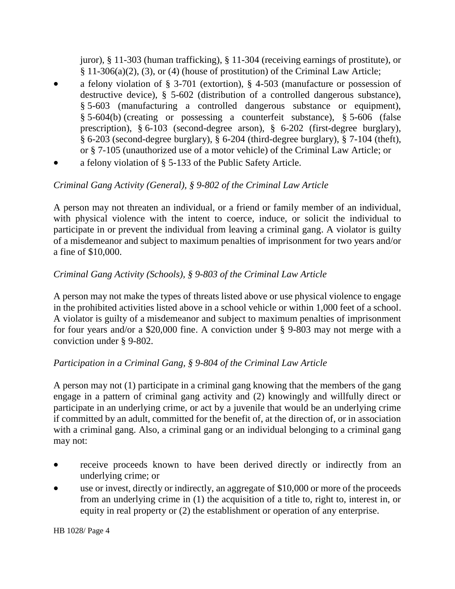juror), § 11-303 (human trafficking), § 11-304 (receiving earnings of prostitute), or  $§ 11-306(a)(2), (3),$  or (4) (house of prostitution) of the Criminal Law Article;

- a felony violation of § 3-701 (extortion), § 4-503 (manufacture or possession of destructive device), § 5-602 (distribution of a controlled dangerous substance), § 5-603 (manufacturing a controlled dangerous substance or equipment), § 5-604(b) (creating or possessing a counterfeit substance), § 5-606 (false prescription), § 6-103 (second-degree arson), § 6-202 (first-degree burglary), § 6-203 (second-degree burglary), § 6-204 (third-degree burglary), § 7-104 (theft), or § 7-105 (unauthorized use of a motor vehicle) of the Criminal Law Article; or
- a felony violation of § 5-133 of the Public Safety Article.

# *Criminal Gang Activity (General), § 9-802 of the Criminal Law Article*

A person may not threaten an individual, or a friend or family member of an individual, with physical violence with the intent to coerce, induce, or solicit the individual to participate in or prevent the individual from leaving a criminal gang. A violator is guilty of a misdemeanor and subject to maximum penalties of imprisonment for two years and/or a fine of \$10,000.

## *Criminal Gang Activity (Schools), § 9-803 of the Criminal Law Article*

A person may not make the types of threats listed above or use physical violence to engage in the prohibited activities listed above in a school vehicle or within 1,000 feet of a school. A violator is guilty of a misdemeanor and subject to maximum penalties of imprisonment for four years and/or a \$20,000 fine. A conviction under § 9-803 may not merge with a conviction under § 9-802.

### *Participation in a Criminal Gang, § 9-804 of the Criminal Law Article*

A person may not (1) participate in a criminal gang knowing that the members of the gang engage in a pattern of criminal gang activity and (2) knowingly and willfully direct or participate in an underlying crime, or act by a juvenile that would be an underlying crime if committed by an adult, committed for the benefit of, at the direction of, or in association with a criminal gang. Also, a criminal gang or an individual belonging to a criminal gang may not:

- receive proceeds known to have been derived directly or indirectly from an underlying crime; or
- use or invest, directly or indirectly, an aggregate of \$10,000 or more of the proceeds from an underlying crime in (1) the acquisition of a title to, right to, interest in, or equity in real property or (2) the establishment or operation of any enterprise.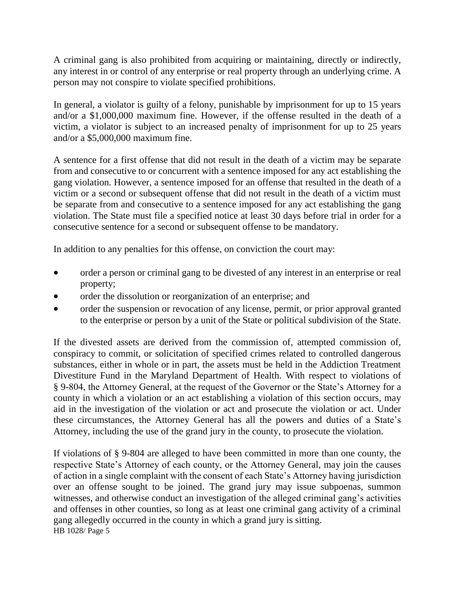A criminal gang is also prohibited from acquiring or maintaining, directly or indirectly, any interest in or control of any enterprise or real property through an underlying crime. A person may not conspire to violate specified prohibitions.

In general, a violator is guilty of a felony, punishable by imprisonment for up to 15 years and/or a \$1,000,000 maximum fine. However, if the offense resulted in the death of a victim, a violator is subject to an increased penalty of imprisonment for up to 25 years and/or a \$5,000,000 maximum fine.

A sentence for a first offense that did not result in the death of a victim may be separate from and consecutive to or concurrent with a sentence imposed for any act establishing the gang violation. However, a sentence imposed for an offense that resulted in the death of a victim or a second or subsequent offense that did not result in the death of a victim must be separate from and consecutive to a sentence imposed for any act establishing the gang violation. The State must file a specified notice at least 30 days before trial in order for a consecutive sentence for a second or subsequent offense to be mandatory.

In addition to any penalties for this offense, on conviction the court may:

- order a person or criminal gang to be divested of any interest in an enterprise or real property;
- order the dissolution or reorganization of an enterprise; and
- order the suspension or revocation of any license, permit, or prior approval granted to the enterprise or person by a unit of the State or political subdivision of the State.

If the divested assets are derived from the commission of, attempted commission of, conspiracy to commit, or solicitation of specified crimes related to controlled dangerous substances, either in whole or in part, the assets must be held in the Addiction Treatment Divestiture Fund in the Maryland Department of Health. With respect to violations of § 9-804, the Attorney General, at the request of the Governor or the State's Attorney for a county in which a violation or an act establishing a violation of this section occurs, may aid in the investigation of the violation or act and prosecute the violation or act. Under these circumstances, the Attorney General has all the powers and duties of a State's Attorney, including the use of the grand jury in the county, to prosecute the violation.

HB 1028/ Page 5 If violations of § 9-804 are alleged to have been committed in more than one county, the respective State's Attorney of each county, or the Attorney General, may join the causes of action in a single complaint with the consent of each State's Attorney having jurisdiction over an offense sought to be joined. The grand jury may issue subpoenas, summon witnesses, and otherwise conduct an investigation of the alleged criminal gang's activities and offenses in other counties, so long as at least one criminal gang activity of a criminal gang allegedly occurred in the county in which a grand jury is sitting.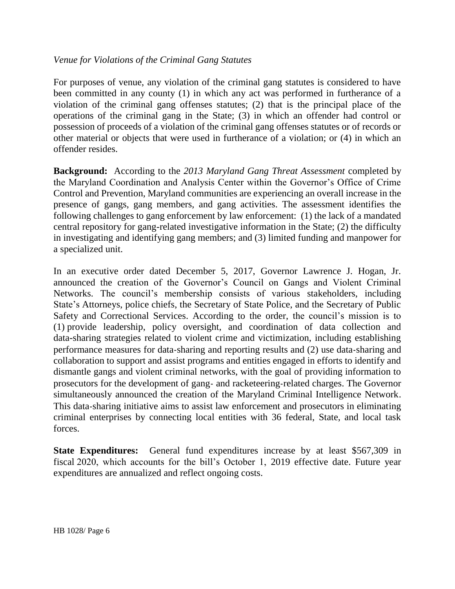### *Venue for Violations of the Criminal Gang Statutes*

For purposes of venue, any violation of the criminal gang statutes is considered to have been committed in any county (1) in which any act was performed in furtherance of a violation of the criminal gang offenses statutes; (2) that is the principal place of the operations of the criminal gang in the State; (3) in which an offender had control or possession of proceeds of a violation of the criminal gang offenses statutes or of records or other material or objects that were used in furtherance of a violation; or (4) in which an offender resides.

**Background:** According to the *2013 Maryland Gang Threat Assessment* completed by the Maryland Coordination and Analysis Center within the Governor's Office of Crime Control and Prevention, Maryland communities are experiencing an overall increase in the presence of gangs, gang members, and gang activities. The assessment identifies the following challenges to gang enforcement by law enforcement: (1) the lack of a mandated central repository for gang-related investigative information in the State; (2) the difficulty in investigating and identifying gang members; and (3) limited funding and manpower for a specialized unit.

In an executive order dated December 5, 2017, Governor Lawrence J. Hogan, Jr. announced the creation of the Governor's Council on Gangs and Violent Criminal Networks. The council's membership consists of various stakeholders, including State's Attorneys, police chiefs, the Secretary of State Police, and the Secretary of Public Safety and Correctional Services. According to the order, the council's mission is to (1) provide leadership, policy oversight, and coordination of data collection and data-sharing strategies related to violent crime and victimization, including establishing performance measures for data-sharing and reporting results and (2) use data-sharing and collaboration to support and assist programs and entities engaged in efforts to identify and dismantle gangs and violent criminal networks, with the goal of providing information to prosecutors for the development of gang- and racketeering-related charges. The Governor simultaneously announced the creation of the Maryland Criminal Intelligence Network. This data-sharing initiative aims to assist law enforcement and prosecutors in eliminating criminal enterprises by connecting local entities with 36 federal, State, and local task forces.

**State Expenditures:** General fund expenditures increase by at least \$567,309 in fiscal 2020, which accounts for the bill's October 1, 2019 effective date. Future year expenditures are annualized and reflect ongoing costs.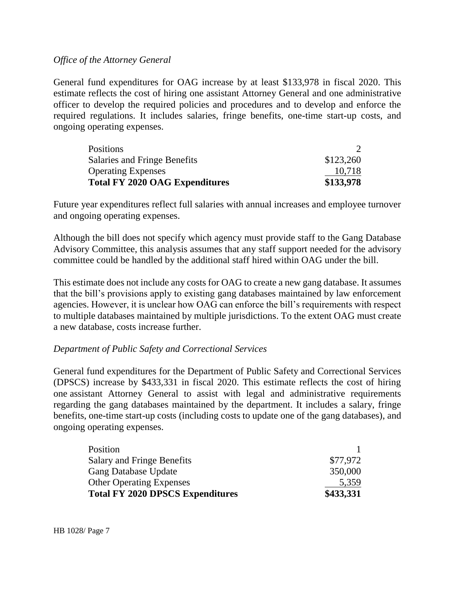#### *Office of the Attorney General*

General fund expenditures for OAG increase by at least \$133,978 in fiscal 2020. This estimate reflects the cost of hiring one assistant Attorney General and one administrative officer to develop the required policies and procedures and to develop and enforce the required regulations. It includes salaries, fringe benefits, one-time start-up costs, and ongoing operating expenses.

| Positions                             |           |
|---------------------------------------|-----------|
| <b>Salaries and Fringe Benefits</b>   | \$123,260 |
| <b>Operating Expenses</b>             | 10,718    |
| <b>Total FY 2020 OAG Expenditures</b> | \$133,978 |

Future year expenditures reflect full salaries with annual increases and employee turnover and ongoing operating expenses.

Although the bill does not specify which agency must provide staff to the Gang Database Advisory Committee, this analysis assumes that any staff support needed for the advisory committee could be handled by the additional staff hired within OAG under the bill.

This estimate does not include any costs for OAG to create a new gang database. It assumes that the bill's provisions apply to existing gang databases maintained by law enforcement agencies. However, it is unclear how OAG can enforce the bill's requirements with respect to multiple databases maintained by multiple jurisdictions. To the extent OAG must create a new database, costs increase further.

#### *Department of Public Safety and Correctional Services*

General fund expenditures for the Department of Public Safety and Correctional Services (DPSCS) increase by \$433,331 in fiscal 2020. This estimate reflects the cost of hiring one assistant Attorney General to assist with legal and administrative requirements regarding the gang databases maintained by the department. It includes a salary, fringe benefits, one-time start-up costs (including costs to update one of the gang databases), and ongoing operating expenses.

| Position                                |           |
|-----------------------------------------|-----------|
| Salary and Fringe Benefits              | \$77,972  |
| <b>Gang Database Update</b>             | 350,000   |
| <b>Other Operating Expenses</b>         | 5,359     |
| <b>Total FY 2020 DPSCS Expenditures</b> | \$433,331 |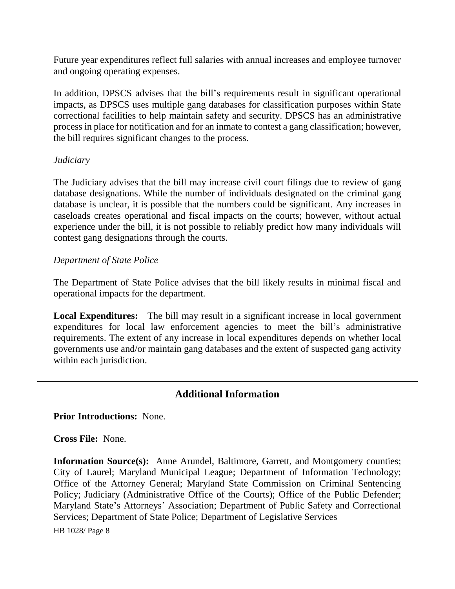Future year expenditures reflect full salaries with annual increases and employee turnover and ongoing operating expenses.

In addition, DPSCS advises that the bill's requirements result in significant operational impacts, as DPSCS uses multiple gang databases for classification purposes within State correctional facilities to help maintain safety and security. DPSCS has an administrative process in place for notification and for an inmate to contest a gang classification; however, the bill requires significant changes to the process.

### *Judiciary*

The Judiciary advises that the bill may increase civil court filings due to review of gang database designations. While the number of individuals designated on the criminal gang database is unclear, it is possible that the numbers could be significant. Any increases in caseloads creates operational and fiscal impacts on the courts; however, without actual experience under the bill, it is not possible to reliably predict how many individuals will contest gang designations through the courts.

### *Department of State Police*

The Department of State Police advises that the bill likely results in minimal fiscal and operational impacts for the department.

**Local Expenditures:** The bill may result in a significant increase in local government expenditures for local law enforcement agencies to meet the bill's administrative requirements. The extent of any increase in local expenditures depends on whether local governments use and/or maintain gang databases and the extent of suspected gang activity within each jurisdiction.

# **Additional Information**

#### **Prior Introductions:** None.

**Cross File:** None.

**Information Source(s):** Anne Arundel, Baltimore, Garrett, and Montgomery counties; City of Laurel; Maryland Municipal League; Department of Information Technology; Office of the Attorney General; Maryland State Commission on Criminal Sentencing Policy; Judiciary (Administrative Office of the Courts); Office of the Public Defender; Maryland State's Attorneys' Association; Department of Public Safety and Correctional Services; Department of State Police; Department of Legislative Services

HB 1028/ Page 8